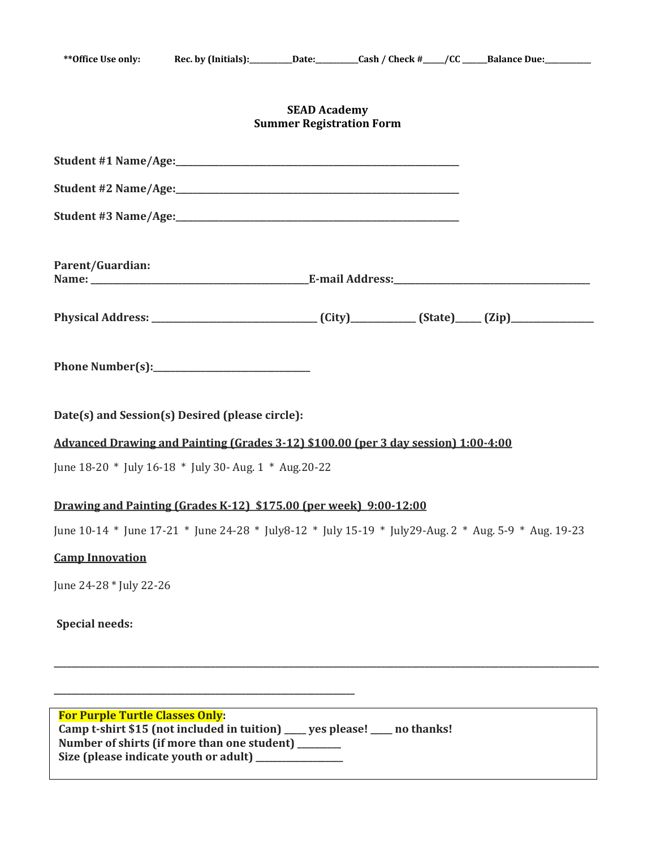## **SEAD Academy Summer Registration Form**

| Parent/Guardian:                                                                                                                                                             |  |  |
|------------------------------------------------------------------------------------------------------------------------------------------------------------------------------|--|--|
| Physical Address: ________________________________(City)____________(State)_____(Zip)_______________                                                                         |  |  |
|                                                                                                                                                                              |  |  |
| Date(s) and Session(s) Desired (please circle):                                                                                                                              |  |  |
| Advanced Drawing and Painting (Grades 3-12) \$100.00 (per 3 day session) 1:00-4:00                                                                                           |  |  |
| June 18-20 * July 16-18 * July 30- Aug. 1 * Aug. 20-22                                                                                                                       |  |  |
| Drawing and Painting (Grades K-12) \$175.00 (per week) 9:00-12:00                                                                                                            |  |  |
| June 10-14 * June 17-21 * June 24-28 * July 8-12 * July 15-19 * July 29-Aug. 2 * Aug. 5-9 * Aug. 19-23                                                                       |  |  |
| <b>Camp Innovation</b>                                                                                                                                                       |  |  |
| June 24-28 * July 22-26                                                                                                                                                      |  |  |
| <b>Special needs:</b>                                                                                                                                                        |  |  |
|                                                                                                                                                                              |  |  |
| <b>For Purple Turtle Classes Only:</b><br>Camp t-shirt \$15 (not included in tuition) ____ yes please! ____ no thanks!<br>Number of shirts (if more than one student) ______ |  |  |